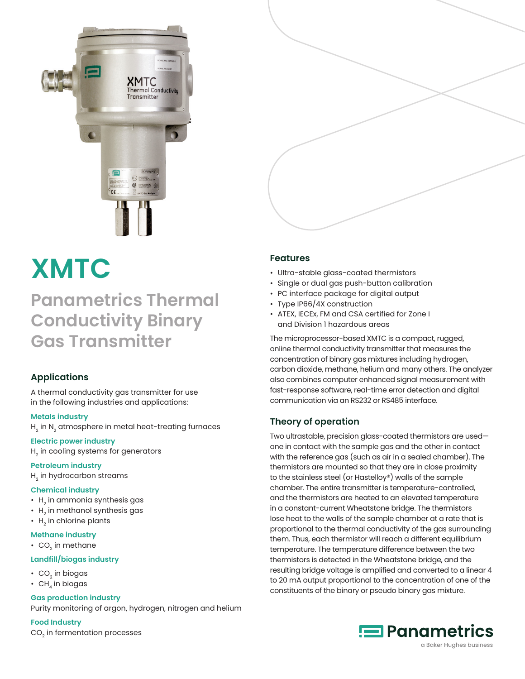

# **XMTC**

# **Panametrics Thermal Conductivity Binary Gas Transmitter**

# **Applications**

A thermal conductivity gas transmitter for use in the following industries and applications:

#### **Metals industry**

 $H<sub>2</sub>$  in N<sub>2</sub> atmosphere in metal heat-treating furnaces

# **Electric power industry**

H<sub>2</sub> in cooling systems for generators

#### **Petroleum industry**

 $H<sub>2</sub>$  in hydrocarbon streams

# **Chemical industry**

- $\cdot$  H<sub>2</sub> in ammonia synthesis gas
- $\cdot$  H<sub>2</sub> in methanol synthesis gas
- $\cdot$  H<sub>2</sub> in chlorine plants

#### **Methane industry**

 $\cdot$  CO<sub>2</sub> in methane

# **Landfill/biogas industry**

- $\cdot$  CO<sub>2</sub> in biogas
- $\cdot$  CH<sub>4</sub> in biogas

# **Gas production industry**

Purity monitoring of argon, hydrogen, nitrogen and helium

#### **Food Industry**

CO<sub>2</sub> in fermentation processes

# **Features**

- Ultra-stable glass-coated thermistors
- Single or dual gas push-button calibration
- PC interface package for digital output
- Type IP66/4X construction
- ATEX, IECEx, FM and CSA certified for Zone I and Division 1 hazardous areas

The microprocessor-based XMTC is a compact, rugged, online thermal conductivity transmitter that measures the concentration of binary gas mixtures including hydrogen, carbon dioxide, methane, helium and many others. The analyzer also combines computer enhanced signal measurement with fast-response software, real-time error detection and digital communication via an RS232 or RS485 interface.

# **Theory of operation**

Two ultrastable, precision glass-coated thermistors are used one in contact with the sample gas and the other in contact with the reference gas (such as air in a sealed chamber). The thermistors are mounted so that they are in close proximity to the stainless steel (or Hastelloy®) walls of the sample chamber. The entire transmitter is temperature-controlled, and the thermistors are heated to an elevated temperature in a constant-current Wheatstone bridge. The thermistors lose heat to the walls of the sample chamber at a rate that is proportional to the thermal conductivity of the gas surrounding them. Thus, each thermistor will reach a different equilibrium temperature. The temperature difference between the two thermistors is detected in the Wheatstone bridge, and the resulting bridge voltage is amplified and converted to a linear 4 to 20 mA output proportional to the concentration of one of the constituents of the binary or pseudo binary gas mixture.

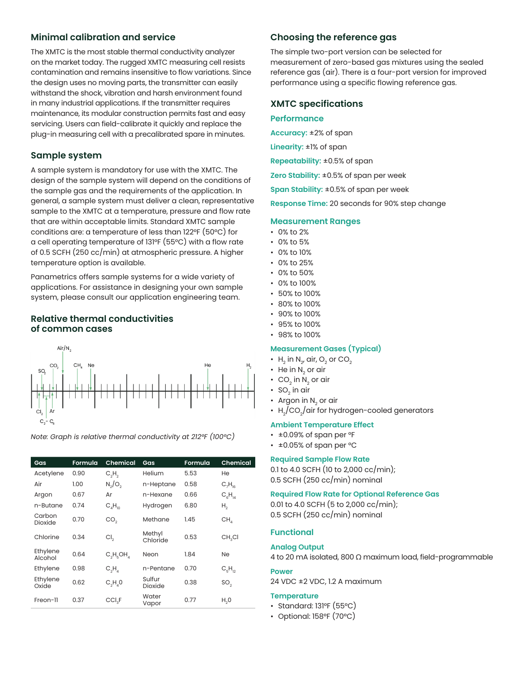# **Minimal calibration and service**

The XMTC is the most stable thermal conductivity analyzer on the market today. The rugged XMTC measuring cell resists contamination and remains insensitive to flow variations. Since the design uses no moving parts, the transmitter can easily withstand the shock, vibration and harsh environment found in many industrial applications. If the transmitter requires maintenance, its modular construction permits fast and easy servicing. Users can field-calibrate it quickly and replace the plug-in measuring cell with a precalibrated spare in minutes.

# **Sample system**

A sample system is mandatory for use with the XMTC. The design of the sample system will depend on the conditions of the sample gas and the requirements of the application. In general, a sample system must deliver a clean, representative sample to the XMTC at a temperature, pressure and flow rate that are within acceptable limits. Standard XMTC sample conditions are: a temperature of less than 122°F (50°C) for a cell operating temperature of 131°F (55°C) with a flow rate of 0.5 SCFH (250 cc/min) at atmospheric pressure. A higher temperature option is available.

Panametrics offers sample systems for a wide variety of applications. For assistance in designing your own sample system, please consult our application engineering team.

## **Relative thermal conductivities of common cases**



**Gas Formula Chemical Gas Formula Chemical** Acetylene 0.90  $\mathsf{C_2H_2}$  Helium 5.53 He Air 1.00 N<sub>2</sub>/O<sub>2</sub> n-Heptane 0.58 C<sub>7</sub>  $H_{16}$ Argon 0.67 Ar n-Hexane 0.66 C<sub>6</sub>H<sub>14</sub> n-Butane 0.74  $C_4H_{10}$  Hydrogen 6.80 H<sub>2</sub> Carbon Dioxide 0.70 CO $_2$  Methane 1.45 CH $_4$ Chlorine 0.34  $Cl<sub>2</sub>$ Methyl  $\overline{\text{Chlorid}}$ e 0.53 CH<sub>3</sub>Cl

| Acetylene           | 0.90 | $C_2H_2$           | Helium             | 5.53 | He                 |
|---------------------|------|--------------------|--------------------|------|--------------------|
| Air                 | 1.00 | $N_2/O_2$          | n-Heptane          | 0.58 | $C_7H_{16}$        |
| Argon               | 0.67 | Ar                 | n-Hexane           | 0.66 | $C_{6}H_{14}$      |
| n-Butane            | 0.74 | $C_4H_{10}$        | Hydrogen           | 6.80 | Η,                 |
| Carbon<br>Dioxide   | 0.70 | CO <sub>2</sub>    | Methane            | 1.45 | CH <sub>a</sub>    |
| Chlorine            | 0.34 | Cl <sub>2</sub>    | Methyl<br>Chloride | 0.53 | CH <sub>2</sub> CI |
| Ethylene<br>Alcohol | 0.64 | $C_1H_2OH_2$       | Neon               | 1.84 | Ne                 |
| Ethylene            | 0.98 | $C_2H_A$           | n-Pentane          | 0.70 | $C_FH_{12}$        |
| Ethylene<br>Oxide   | 0.62 | $C_2H_2O$          | Sulfur<br>Dioxide  | 0.38 | SO <sub>2</sub>    |
| Freon-11            | 0.37 | CCI <sub>2</sub> F | Water<br>Vapor     | 0.77 | H <sub>2</sub> 0   |

# **Choosing the reference gas**

The simple two-port version can be selected for measurement of zero-based gas mixtures using the sealed reference gas (air). There is a four-port version for improved performance using a specific flowing reference gas.

## **XMTC specifications**

#### **Performance**

**Accuracy:** ±2% of span

**Linearity:** ±1% of span

**Repeatability:** ±0.5% of span

**Zero Stability:** ±0.5% of span per week

**Span Stability:** ±0.5% of span per week

**Response Time:** 20 seconds for 90% step change

#### **Measurement Ranges**

- 0% to 2%
- 0% to 5%
- 0% to 10%
- 0% to 25%
- 0% to 50%
- 0% to 100%
- 50% to 100%
- 80% to 100%
- 90% to 100%
- 95% to 100%
- 98% to 100%

#### **Measurement Gases (Typical)**

- $H_2$  in N<sub>2</sub>, air, O<sub>2</sub> or CO<sub>2</sub>
- He in  $N_{2}$  or air
- $\text{CO}_2$  in N<sub>2</sub> or air
- $SO_2$  in air
- Argon in  $N_2$  or air
- $H_2/CO_2/$ air for hydrogen-cooled generators

#### **Ambient Temperature Effect**

- ±0.09% of span per °F
- ±0.05% of span per °C

#### **Required Sample Flow Rate**

0.1 to 4.0 SCFH (10 to 2,000 cc/min); 0.5 SCFH (250 cc/min) nominal

#### **Required Flow Rate for Optional Reference Gas**

0.01 to 4.0 SCFH (5 to 2,000 cc/min); 0.5 SCFH (250 cc/min) nominal

# **Functional**

#### **Analog Output**

4 to 20 mA isolated, 800 Ω maximum load, field-programmable

#### **Power**

24 VDC ±2 VDC, 1.2 A maximum

#### **Temperature**

- Standard: 131°F (55°C)
- Optional: 158°F (70°C)

*Note: Graph is relative thermal conductivity at 212°F (100°C)*